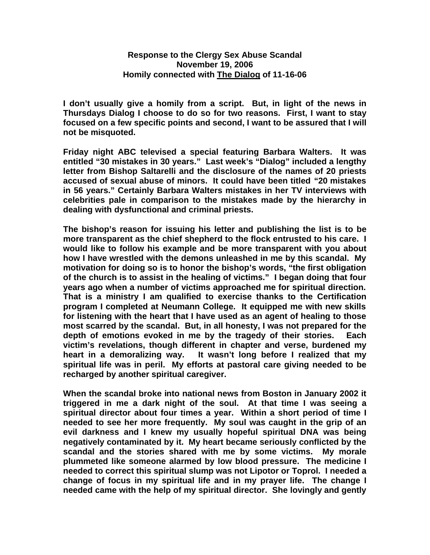## **Response to the Clergy Sex Abuse Scandal November 19, 2006 Homily connected with The Dialog of 11-16-06**

**I don't usually give a homily from a script. But, in light of the news in Thursdays Dialog I choose to do so for two reasons. First, I want to stay focused on a few specific points and second, I want to be assured that I will not be misquoted.**

**Friday night ABC televised a special featuring Barbara Walters. It was entitled "30 mistakes in 30 years." Last week's "Dialog" included a lengthy letter from Bishop Saltarelli and the disclosure of the names of 20 priests accused of sexual abuse of minors. It could have been titled "20 mistakes in 56 years." Certainly Barbara Walters mistakes in her TV interviews with celebrities pale in comparison to the mistakes made by the hierarchy in dealing with dysfunctional and criminal priests.** 

**The bishop's reason for issuing his letter and publishing the list is to be more transparent as the chief shepherd to the flock entrusted to his care. I would like to follow his example and be more transparent with you about how I have wrestled with the demons unleashed in me by this scandal. My motivation for doing so is to honor the bishop's words, "the first obligation of the church is to assist in the healing of victims." I began doing that four years ago when a number of victims approached me for spiritual direction. That is a ministry I am qualified to exercise thanks to the Certification program I completed at Neumann College. It equipped me with new skills for listening with the heart that I have used as an agent of healing to those most scarred by the scandal. But, in all honesty, I was not prepared for the depth of emotions evoked in me by the tragedy of their stories. Each victim's revelations, though different in chapter and verse, burdened my heart in a demoralizing way. It wasn't long before I realized that my spiritual life was in peril. My efforts at pastoral care giving needed to be recharged by another spiritual caregiver.** 

**When the scandal broke into national news from Boston in January 2002 it triggered in me a dark night of the soul. At that time I was seeing a spiritual director about four times a year. Within a short period of time I needed to see her more frequently. My soul was caught in the grip of an evil darkness and I knew my usually hopeful spiritual DNA was being negatively contaminated by it. My heart became seriously conflicted by the scandal and the stories shared with me by some victims. My morale plummeted like someone alarmed by low blood pressure. The medicine I needed to correct this spiritual slump was not Lipotor or Toprol. I needed a change of focus in my spiritual life and in my prayer life. The change I needed came with the help of my spiritual director. She lovingly and gently**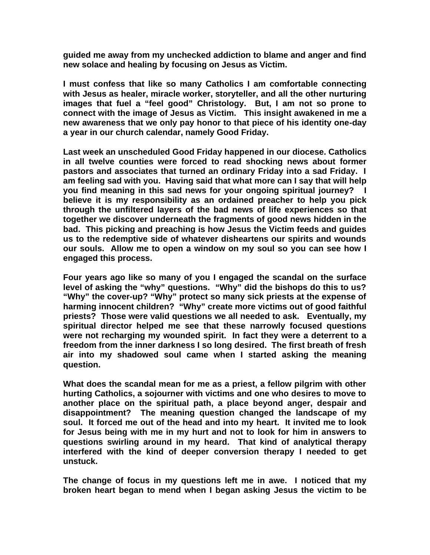**guided me away from my unchecked addiction to blame and anger and find new solace and healing by focusing on Jesus as Victim.**

**I must confess that like so many Catholics I am comfortable connecting with Jesus as healer, miracle worker, storyteller, and all the other nurturing images that fuel a "feel good" Christology. But, I am not so prone to connect with the image of Jesus as Victim. This insight awakened in me a new awareness that we only pay honor to that piece of his identity one-day a year in our church calendar, namely Good Friday.** 

**Last week an unscheduled Good Friday happened in our diocese. Catholics in all twelve counties were forced to read shocking news about former pastors and associates that turned an ordinary Friday into a sad Friday. I am feeling sad with you. Having said that what more can I say that will help you find meaning in this sad news for your ongoing spiritual journey? I believe it is my responsibility as an ordained preacher to help you pick through the unfiltered layers of the bad news of life experiences so that together we discover underneath the fragments of good news hidden in the bad. This picking and preaching is how Jesus the Victim feeds and guides us to the redemptive side of whatever disheartens our spirits and wounds our souls. Allow me to open a window on my soul so you can see how I engaged this process.**

**Four years ago like so many of you I engaged the scandal on the surface level of asking the "why" questions. "Why" did the bishops do this to us? "Why" the cover-up? "Why" protect so many sick priests at the expense of harming innocent children? "Why" create more victims out of good faithful priests? Those were valid questions we all needed to ask. Eventually, my spiritual director helped me see that these narrowly focused questions were not recharging my wounded spirit. In fact they were a deterrent to a freedom from the inner darkness I so long desired. The first breath of fresh air into my shadowed soul came when I started asking the meaning question.**

**What does the scandal mean for me as a priest, a fellow pilgrim with other hurting Catholics, a sojourner with victims and one who desires to move to another place on the spiritual path, a place beyond anger, despair and disappointment? The meaning question changed the landscape of my soul. It forced me out of the head and into my heart. It invited me to look for Jesus being with me in my hurt and not to look for him in answers to questions swirling around in my heard. That kind of analytical therapy interfered with the kind of deeper conversion therapy I needed to get unstuck.**

**The change of focus in my questions left me in awe. I noticed that my broken heart began to mend when I began asking Jesus the victim to be**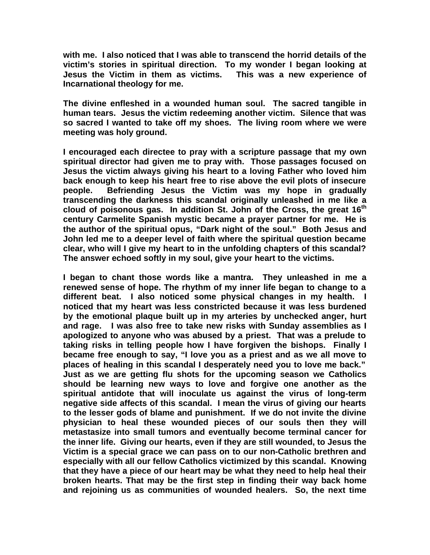**with me. I also noticed that I was able to transcend the horrid details of the victim's stories in spiritual direction. To my wonder I began looking at Jesus the Victim in them as victims. This was a new experience of Incarnational theology for me.** 

**The divine enfleshed in a wounded human soul. The sacred tangible in human tears. Jesus the victim redeeming another victim. Silence that was so sacred I wanted to take off my shoes. The living room where we were meeting was holy ground.** 

**I encouraged each directee to pray with a scripture passage that my own spiritual director had given me to pray with. Those passages focused on Jesus the victim always giving his heart to a loving Father who loved him back enough to keep his heart free to rise above the evil plots of insecure people. Befriending Jesus the Victim was my hope in gradually transcending the darkness this scandal originally unleashed in me like a cloud of poisonous gas. In addition St. John of the Cross, the great 16th century Carmelite Spanish mystic became a prayer partner for me. He is the author of the spiritual opus, "Dark night of the soul." Both Jesus and John led me to a deeper level of faith where the spiritual question became clear, who will I give my heart to in the unfolding chapters of this scandal? The answer echoed softly in my soul, give your heart to the victims.** 

**I began to chant those words like a mantra. They unleashed in me a renewed sense of hope. The rhythm of my inner life began to change to a different beat. I also noticed some physical changes in my health. I noticed that my heart was less constricted because it was less burdened by the emotional plaque built up in my arteries by unchecked anger, hurt and rage. I was also free to take new risks with Sunday assemblies as I apologized to anyone who was abused by a priest. That was a prelude to taking risks in telling people how I have forgiven the bishops. Finally I became free enough to say, "I love you as a priest and as we all move to places of healing in this scandal I desperately need you to love me back." Just as we are getting flu shots for the upcoming season we Catholics should be learning new ways to love and forgive one another as the spiritual antidote that will inoculate us against the virus of long-term negative side affects of this scandal. I mean the virus of giving our hearts to the lesser gods of blame and punishment. If we do not invite the divine physician to heal these wounded pieces of our souls then they will metastasize into small tumors and eventually become terminal cancer for the inner life. Giving our hearts, even if they are still wounded, to Jesus the Victim is a special grace we can pass on to our non-Catholic brethren and especially with all our fellow Catholics victimized by this scandal. Knowing that they have a piece of our heart may be what they need to help heal their broken hearts. That may be the first step in finding their way back home and rejoining us as communities of wounded healers. So, the next time**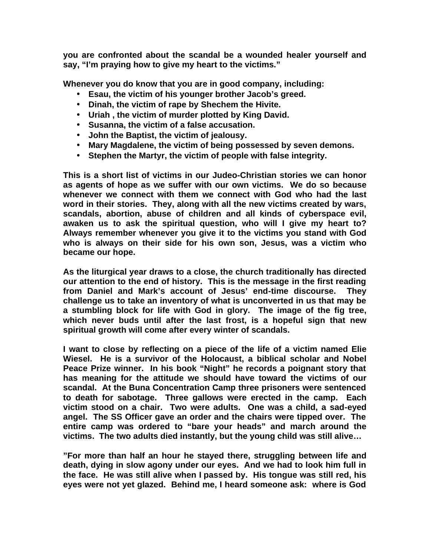**you are confronted about the scandal be a wounded healer yourself and say, "I'm praying how to give my heart to the victims."**

**Whenever you do know that you are in good company, including:**

- **Esau, the victim of his younger brother Jacob's greed.**
- **Dinah, the victim of rape by Shechem the Hivite.**
- **Uriah , the victim of murder plotted by King David.**
- **Susanna, the victim of a false accusation.**
- **John the Baptist, the victim of jealousy.**
- **Mary Magdalene, the victim of being possessed by seven demons.**
- **Stephen the Martyr, the victim of people with false integrity.**

**This is a short list of victims in our Judeo-Christian stories we can honor as agents of hope as we suffer with our own victims. We do so because whenever we connect with them we connect with God who had the last word in their stories. They, along with all the new victims created by wars, scandals, abortion, abuse of children and all kinds of cyberspace evil, awaken us to ask the spiritual question, who will I give my heart to? Always remember whenever you give it to the victims you stand with God who is always on their side for his own son, Jesus, was a victim who became our hope.** 

**As the liturgical year draws to a close, the church traditionally has directed our attention to the end of history. This is the message in the first reading from Daniel and Mark's account of Jesus' end-time discourse. They challenge us to take an inventory of what is unconverted in us that may be a stumbling block for life with God in glory. The image of the fig tree, which never buds until after the last frost, is a hopeful sign that new spiritual growth will come after every winter of scandals.**

**I want to close by reflecting on a piece of the life of a victim named Elie Wiesel. He is a survivor of the Holocaust, a biblical scholar and Nobel Peace Prize winner. In his book "Night" he records a poignant story that has meaning for the attitude we should have toward the victims of our scandal. At the Buna Concentration Camp three prisoners were sentenced to death for sabotage. Three gallows were erected in the camp. Each victim stood on a chair. Two were adults. One was a child, a sad-eyed angel. The SS Officer gave an order and the chairs were tipped over. The entire camp was ordered to "bare your heads" and march around the victims. The two adults died instantly, but the young child was still alive…**

**"For more than half an hour he stayed there, struggling between life and death, dying in slow agony under our eyes. And we had to look him full in the face. He was still alive when I passed by. His tongue was still red, his eyes were not yet glazed. Behind me, I heard someone ask: where is God**